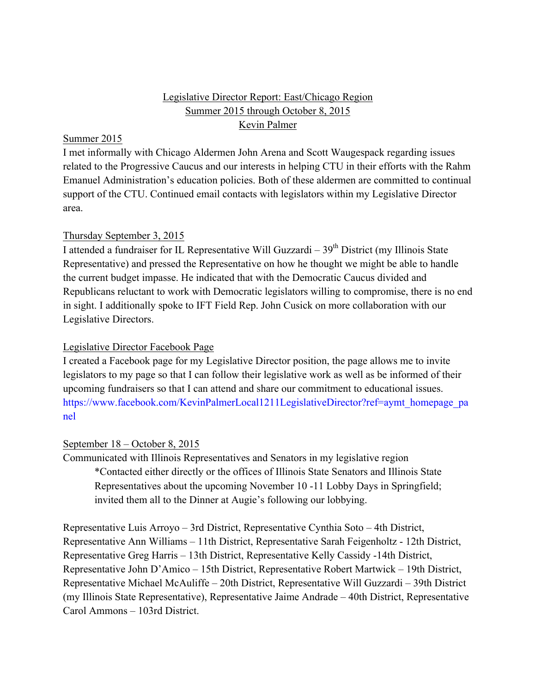# Legislative Director Report: East/Chicago Region Summer 2015 through October 8, 2015 Kevin Palmer

#### Summer 2015

I met informally with Chicago Aldermen John Arena and Scott Waugespack regarding issues related to the Progressive Caucus and our interests in helping CTU in their efforts with the Rahm Emanuel Administration's education policies. Both of these aldermen are committed to continual support of the CTU. Continued email contacts with legislators within my Legislative Director area.

### Thursday September 3, 2015

I attended a fundraiser for IL Representative Will Guzzardi –  $39<sup>th</sup>$  District (my Illinois State Representative) and pressed the Representative on how he thought we might be able to handle the current budget impasse. He indicated that with the Democratic Caucus divided and Republicans reluctant to work with Democratic legislators willing to compromise, there is no end in sight. I additionally spoke to IFT Field Rep. John Cusick on more collaboration with our Legislative Directors.

## Legislative Director Facebook Page

I created a Facebook page for my Legislative Director position, the page allows me to invite legislators to my page so that I can follow their legislative work as well as be informed of their upcoming fundraisers so that I can attend and share our commitment to educational issues. https://www.facebook.com/KevinPalmerLocal1211LegislativeDirector?ref=aymt\_homepage\_pa nel

### September 18 – October 8, 2015

Communicated with Illinois Representatives and Senators in my legislative region \*Contacted either directly or the offices of Illinois State Senators and Illinois State Representatives about the upcoming November 10 -11 Lobby Days in Springfield; invited them all to the Dinner at Augie's following our lobbying.

Representative Luis Arroyo – 3rd District, Representative Cynthia Soto – 4th District, Representative Ann Williams – 11th District, Representative Sarah Feigenholtz - 12th District, Representative Greg Harris – 13th District, Representative Kelly Cassidy -14th District, Representative John D'Amico – 15th District, Representative Robert Martwick – 19th District, Representative Michael McAuliffe – 20th District, Representative Will Guzzardi – 39th District (my Illinois State Representative), Representative Jaime Andrade – 40th District, Representative Carol Ammons – 103rd District.